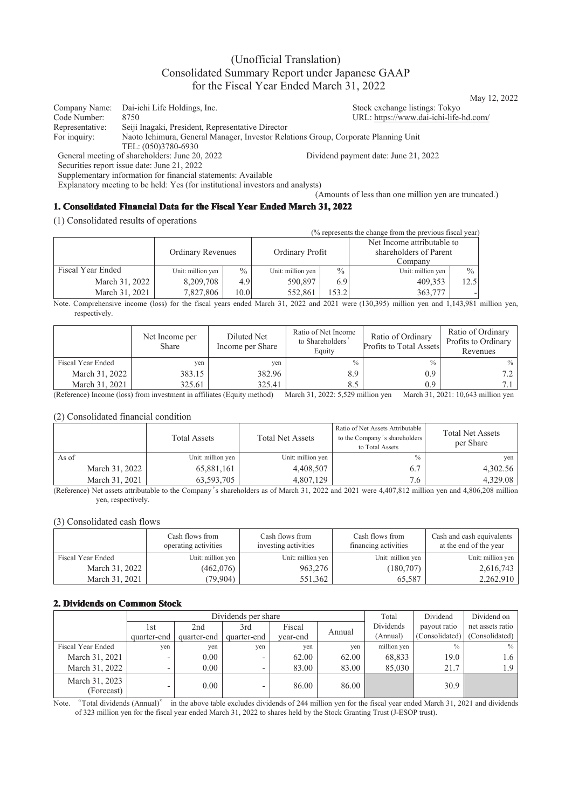# (Unofficial Translation) Consolidated Summary Report under Japanese GAAP for the Fiscal Year Ended March 31, 2022

Company Name: Dai-ichi Life Holdings, Inc.<br>
Code Number: 8750<br>
Code Number: 8750 Code Number: 8750 URL: https://www.dai-ichi-life-hd.com/<br>Representative: Seiji Inagaki, President, Representative Director Representative: Seiji Inagaki, President, Representative Director Naoto Ichimura, General Manager, Investor Relations Group, Corporate Planning Unit TEL: (050)3780-6930 General meeting of shareholders: June 20, 2022 Dividend payment date: June 21, 2022

Securities report issue date: June 21, 2022

Supplementary information for financial statements: Available

Explanatory meeting to be held: Yes (for institutional investors and analysts)

(Amounts of less than one million yen are truncated.)

### **1. Consolidated Financial Data for the Fiscal Year Ended March 31, 2022**

(1) Consolidated results of operations

| (% represents the change from the previous fiscal year) |                          |               |                   |               |                            |               |  |
|---------------------------------------------------------|--------------------------|---------------|-------------------|---------------|----------------------------|---------------|--|
|                                                         | <b>Ordinary Revenues</b> |               |                   |               | Net Income attributable to |               |  |
|                                                         |                          |               | Ordinary Profit   |               | shareholders of Parent     |               |  |
|                                                         |                          |               |                   |               | Company                    |               |  |
| Fiscal Year Ended                                       | Unit: million yen        | $\frac{0}{0}$ | Unit: million yen | $\frac{0}{0}$ | Unit: million yen          | $\frac{0}{0}$ |  |
| March 31, 2022                                          | 8,209,708                | $4.9^{\circ}$ | 590,897           | 6.9           | 409.353                    | 12.5          |  |
| March 31, 2021                                          | 7,827,806                | 10.0          | 552,861           | 153.21        | 363,777                    |               |  |

Note. Comprehensive income (loss) for the fiscal years ended March 31, 2022 and 2021 were (130,395) million yen and 1,143,981 million yen, respectively.

|                   | Net Income per<br>Share | Diluted Net<br>Income per Share | Ratio of Net Income<br>to Shareholders<br>Equity | Ratio of Ordinary<br><b>Profits to Total Assets</b> | Ratio of Ordinary<br>Profits to Ordinary<br>Revenues |
|-------------------|-------------------------|---------------------------------|--------------------------------------------------|-----------------------------------------------------|------------------------------------------------------|
| Fiscal Year Ended | ven                     | yen                             | $\frac{0}{0}$                                    | $\frac{0}{0}$                                       | $\%$                                                 |
| March 31, 2022    | 383.15                  | 382.96                          | 8.9                                              | 0.9                                                 | 7.2                                                  |
| March 31, 2021    | 325.61                  | 325.41                          | 8.5                                              | 0.9                                                 | 7.1                                                  |

(Reference) Income (loss) from investment in affiliates (Equity method) March 31, 2022: 5,529 million yen March 31, 2021: 10,643 million yen

#### (2) Consolidated financial condition

|                | <b>Total Assets</b> | <b>Total Net Assets</b> | Ratio of Net Assets Attributable<br>to the Company's shareholders<br>to Total Assets | <b>Total Net Assets</b><br>per Share |
|----------------|---------------------|-------------------------|--------------------------------------------------------------------------------------|--------------------------------------|
| As of          | Unit: million yen   | Unit: million yen       | $\frac{0}{0}$                                                                        | yen                                  |
| March 31, 2022 | 65,881,161          | 4,408,507               | 6.7                                                                                  | 4,302.56                             |
| March 31, 2021 | 63,593,705          | 4,807,129               | 7.6                                                                                  | 4,329.08                             |

(Reference) Net assets attributable to the Company's shareholders as of March 31, 2022 and 2021 were 4,407,812 million yen and 4,806,208 million yen, respectively.

#### (3) Consolidated cash flows

|                   | Cash flows from<br>operating activities | Cash flows from<br>investing activities | Cash flows from<br>financing activities | Cash and cash equivalents<br>at the end of the year |
|-------------------|-----------------------------------------|-----------------------------------------|-----------------------------------------|-----------------------------------------------------|
| Fiscal Year Ended | Unit: million yen                       | Unit: million yen                       | Unit: million yen                       | Unit: million yen                                   |
| March 31, 2022    | (462,076)                               | 963,276                                 | (180,707)                               | 2,616,743                                           |
| March 31, 2021    | (79,904)                                | 551,362                                 | 65.587                                  | 2,262,910                                           |

#### **2. Dividends on Common Stock**

|                              |                          | Dividends per share |                          |          |        |             | Dividend       | Dividend on      |
|------------------------------|--------------------------|---------------------|--------------------------|----------|--------|-------------|----------------|------------------|
|                              | 1st                      | 2nd                 | 3rd                      | Fiscal   |        | Dividends   | payout ratio   | net assets ratio |
|                              | quarter-end              | quarter-end         | quarter-end              | vear-end | Annual | (Annual)    | (Consolidated) | (Consolidated)   |
| Fiscal Year Ended            | yen                      | ven                 | yen                      | yen      | yen    | million yen | $\frac{0}{0}$  | $\%$             |
| March 31, 2021               | $\overline{\phantom{a}}$ | 0.00                |                          | 62.00    | 62.00  | 68.833      | 19.0           | 1.6              |
| March 31, 2022               | $\overline{\phantom{0}}$ | 0.00                | $\overline{\phantom{0}}$ | 83.00    | 83.00  | 85,030      | 21.7           | 1.9              |
| March 31, 2023<br>(Forecast) |                          | 0.00                |                          | 86.00    | 86.00  |             | 30.9           |                  |

Note. "Total dividends (Annual)" in the above table excludes dividends of 244 million yen for the fiscal year ended March 31, 2021 and dividends of 323 million yen for the fiscal year ended March 31, 2022 to shares held by the Stock Granting Trust (J-ESOP trust).

May 12, 2022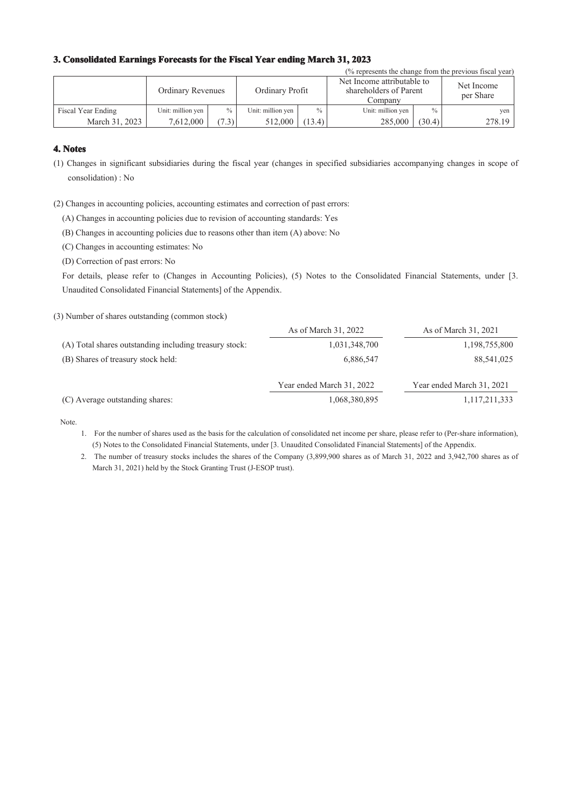### **3. Consolidated Earnings Forecasts for the Fiscal Year ending March 31, 2023**

| (% represents the change from the previous fiscal year) |                          |               |                   |               |                                                                 |        |                         |  |
|---------------------------------------------------------|--------------------------|---------------|-------------------|---------------|-----------------------------------------------------------------|--------|-------------------------|--|
|                                                         | <b>Ordinary Revenues</b> |               | Ordinary Profit   |               | Net Income attributable to<br>shareholders of Parent<br>Company |        | Net Income<br>per Share |  |
| Fiscal Year Ending                                      | Unit: million yen        | $\frac{0}{0}$ | Unit: million yen | $\frac{0}{0}$ | Unit: million yen                                               | $\%$   | yen                     |  |
| March 31, 2023                                          | 7,612,000                | (7.3)         | 512,000           | (13.4)        | 285,000                                                         | (30.4) | 278.19                  |  |

### **4. Notes**

- (1) Changes in significant subsidiaries during the fiscal year (changes in specified subsidiaries accompanying changes in scope of consolidation) : No
- (2) Changes in accounting policies, accounting estimates and correction of past errors:

(A) Changes in accounting policies due to revision of accounting standards: Yes

(B) Changes in accounting policies due to reasons other than item (A) above: No

(C) Changes in accounting estimates: No

(D) Correction of past errors: No

For details, please refer to (Changes in Accounting Policies), (5) Notes to the Consolidated Financial Statements, under [3. Unaudited Consolidated Financial Statements] of the Appendix.

(3) Number of shares outstanding (common stock)

|                                                        | As of March 31, 2022      | As of March 31, 2021      |
|--------------------------------------------------------|---------------------------|---------------------------|
| (A) Total shares outstanding including treasury stock: | 1,031,348,700             | 1,198,755,800             |
| (B) Shares of treasury stock held:                     | 6,886,547                 | 88,541,025                |
|                                                        | Year ended March 31, 2022 | Year ended March 31, 2021 |
| (C) Average outstanding shares:                        | 1,068,380,895             | 1,117,211,333             |

Note.

- 1. For the number of shares used as the basis for the calculation of consolidated net income per share, please refer to (Per-share information), (5) Notes to the Consolidated Financial Statements, under [3. Unaudited Consolidated Financial Statements] of the Appendix.
- 2. The number of treasury stocks includes the shares of the Company (3,899,900 shares as of March 31, 2022 and 3,942,700 shares as of March 31, 2021) held by the Stock Granting Trust (J-ESOP trust).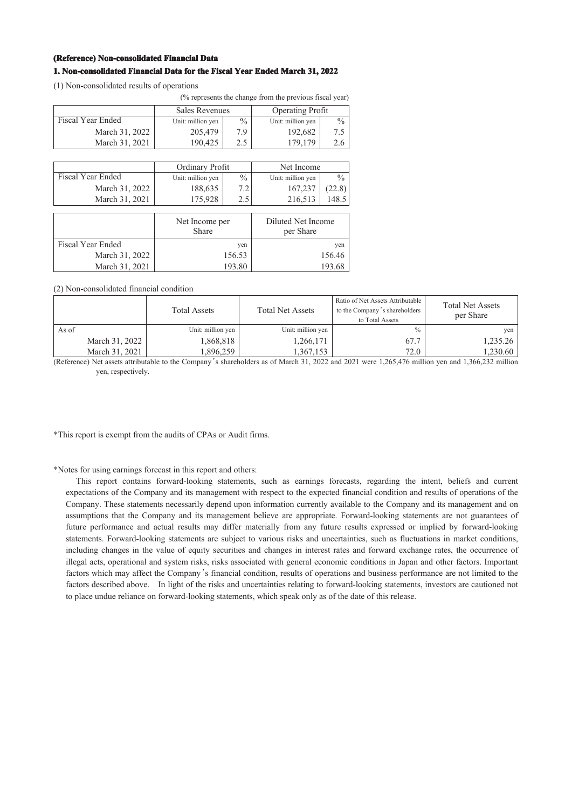#### **(Reference) Non-consolidated Financial Data**

### **1. Non-consolidated Financial Data for the Fiscal Year Ended March 31, 2022**

(1) Non-consolidated results of operations

|                          | (% represents the change from the previous fiscal year) |                 |                         |               |  |
|--------------------------|---------------------------------------------------------|-----------------|-------------------------|---------------|--|
|                          | <b>Sales Revenues</b>                                   |                 | <b>Operating Profit</b> |               |  |
| <b>Fiscal Year Ended</b> | Unit: million yen                                       | $\frac{0}{0}$   |                         | $\frac{0}{0}$ |  |
| March 31, 2022           | 205,479                                                 | 7.9             | 192,682                 | 7.5           |  |
| March 31, 2021           | 190,425                                                 | 2.5             | 179,179                 | 2.6           |  |
|                          |                                                         |                 |                         |               |  |
|                          |                                                         | Ordinary Profit |                         | Net Income    |  |
| Fiscal Year Ended        | Unit: million yen                                       | $\frac{0}{0}$   | Unit: million yen       | $\frac{0}{0}$ |  |
| March 31, 2022           | 188,635                                                 | 7.2             | 167,237                 | (22.8)        |  |
| March 31, 2021           | 175,928                                                 | 2.5             | 216,513                 | 148.5         |  |
|                          |                                                         |                 |                         |               |  |
|                          | Net Income per                                          |                 | Diluted Net Income      |               |  |
|                          | Share                                                   |                 |                         |               |  |
| <b>Fiscal Year Ended</b> |                                                         | yen             |                         | yen           |  |
| March 31, 2022           |                                                         | 156.53          |                         | 156.46        |  |
| March 31, 2021           | 193.80                                                  |                 | 193.68                  |               |  |

(2) Non-consolidated financial condition

|                | <b>Total Assets</b> | <b>Total Net Assets</b> | Ratio of Net Assets Attributable  <br>to the Company's shareholders<br>to Total Assets | <b>Total Net Assets</b><br>per Share |
|----------------|---------------------|-------------------------|----------------------------------------------------------------------------------------|--------------------------------------|
| As of          | Unit: million yen   | Unit: million yen       | $\frac{0}{0}$                                                                          | yen                                  |
| March 31, 2022 | 1,868,818           | 1,266,171               | 67.7                                                                                   | 1,235.26                             |
| March 31, 2021 | 1.896.259           | 1.367.153               | 72.0                                                                                   | 1,230.60                             |

(Reference) Net assets attributable to the Company's shareholders as of March 31, 2022 and 2021 were 1,265,476 million yen and 1,366,232 million yen, respectively.

\*This report is exempt from the audits of CPAs or Audit firms.

\*Notes for using earnings forecast in this report and others:

This report contains forward-looking statements, such as earnings forecasts, regarding the intent, beliefs and current expectations of the Company and its management with respect to the expected financial condition and results of operations of the Company. These statements necessarily depend upon information currently available to the Company and its management and on assumptions that the Company and its management believe are appropriate. Forward-looking statements are not guarantees of future performance and actual results may differ materially from any future results expressed or implied by forward-looking statements. Forward-looking statements are subject to various risks and uncertainties, such as fluctuations in market conditions, including changes in the value of equity securities and changes in interest rates and forward exchange rates, the occurrence of illegal acts, operational and system risks, risks associated with general economic conditions in Japan and other factors. Important factors which may affect the Company's financial condition, results of operations and business performance are not limited to the factors described above. In light of the risks and uncertainties relating to forward-looking statements, investors are cautioned not to place undue reliance on forward-looking statements, which speak only as of the date of this release.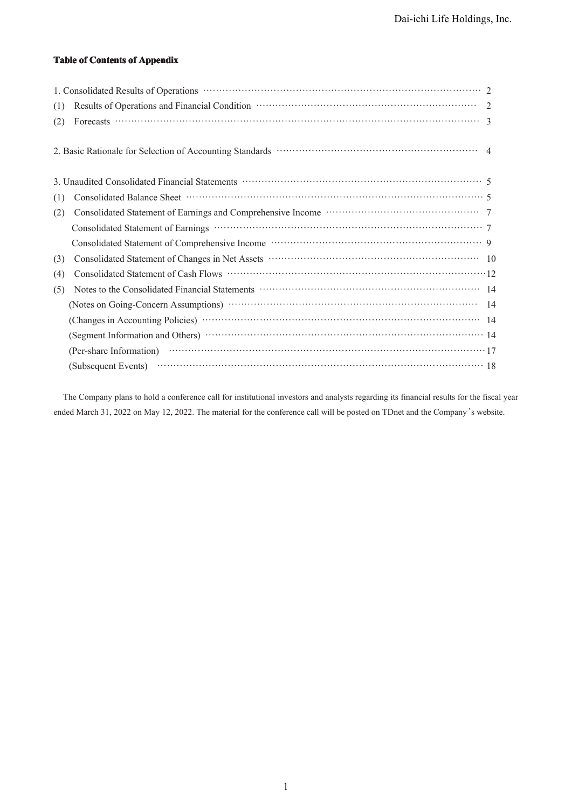### **Table of Contents of Appendix**

| (1) |  |
|-----|--|
| (2) |  |
|     |  |
|     |  |
| (1) |  |
| (2) |  |
|     |  |
|     |  |
| (3) |  |
| (4) |  |
| (5) |  |
|     |  |
|     |  |
|     |  |
|     |  |
|     |  |

The Company plans to hold a conference call for institutional investors and analysts regarding its financial results for the fiscal year ended March 31, 2022 on May 12, 2022. The material for the conference call will be posted on TDnet and the Company's website.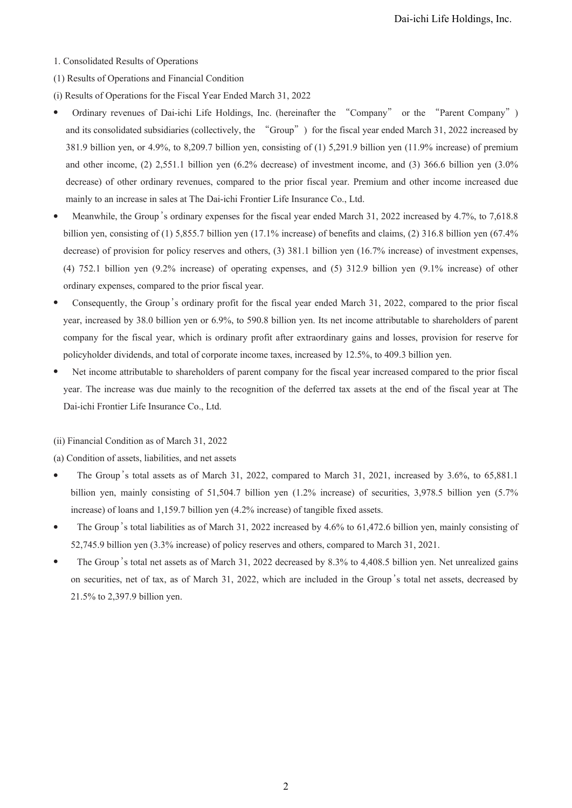- 1. Consolidated Results of Operations
- (1) Results of Operations and Financial Condition
- (i) Results of Operations for the Fiscal Year Ended March 31, 2022
- Ordinary revenues of Dai-ichi Life Holdings, Inc. (hereinafter the "Company" or the "Parent Company") and its consolidated subsidiaries (collectively, the "Group") for the fiscal year ended March 31, 2022 increased by 381.9 billion yen, or 4.9%, to 8,209.7 billion yen, consisting of (1) 5,291.9 billion yen (11.9% increase) of premium and other income, (2) 2,551.1 billion yen (6.2% decrease) of investment income, and (3) 366.6 billion yen (3.0% decrease) of other ordinary revenues, compared to the prior fiscal year. Premium and other income increased due mainly to an increase in sales at The Dai-ichi Frontier Life Insurance Co., Ltd.
- Meanwhile, the Group's ordinary expenses for the fiscal year ended March 31, 2022 increased by 4.7%, to 7,618.8 billion yen, consisting of (1) 5,855.7 billion yen (17.1% increase) of benefits and claims, (2) 316.8 billion yen (67.4% decrease) of provision for policy reserves and others, (3) 381.1 billion yen (16.7% increase) of investment expenses, (4) 752.1 billion yen (9.2% increase) of operating expenses, and (5) 312.9 billion yen (9.1% increase) of other ordinary expenses, compared to the prior fiscal year.
- Consequently, the Group's ordinary profit for the fiscal year ended March 31, 2022, compared to the prior fiscal year, increased by 38.0 billion yen or 6.9%, to 590.8 billion yen. Its net income attributable to shareholders of parent company for the fiscal year, which is ordinary profit after extraordinary gains and losses, provision for reserve for policyholder dividends, and total of corporate income taxes, increased by 12.5%, to 409.3 billion yen.
- Net income attributable to shareholders of parent company for the fiscal year increased compared to the prior fiscal year. The increase was due mainly to the recognition of the deferred tax assets at the end of the fiscal year at The Dai-ichi Frontier Life Insurance Co., Ltd.
- (ii) Financial Condition as of March 31, 2022

(a) Condition of assets, liabilities, and net assets

- The Group's total assets as of March 31, 2022, compared to March 31, 2021, increased by 3.6%, to 65,881.1 billion yen, mainly consisting of 51,504.7 billion yen (1.2% increase) of securities, 3,978.5 billion yen (5.7% increase) of loans and 1,159.7 billion yen (4.2% increase) of tangible fixed assets.
- The Group's total liabilities as of March 31, 2022 increased by 4.6% to 61,472.6 billion yen, mainly consisting of 52,745.9 billion yen (3.3% increase) of policy reserves and others, compared to March 31, 2021.
- The Group's total net assets as of March 31, 2022 decreased by 8.3% to 4,408.5 billion yen. Net unrealized gains on securities, net of tax, as of March 31, 2022, which are included in the Group's total net assets, decreased by 21.5% to 2,397.9 billion yen.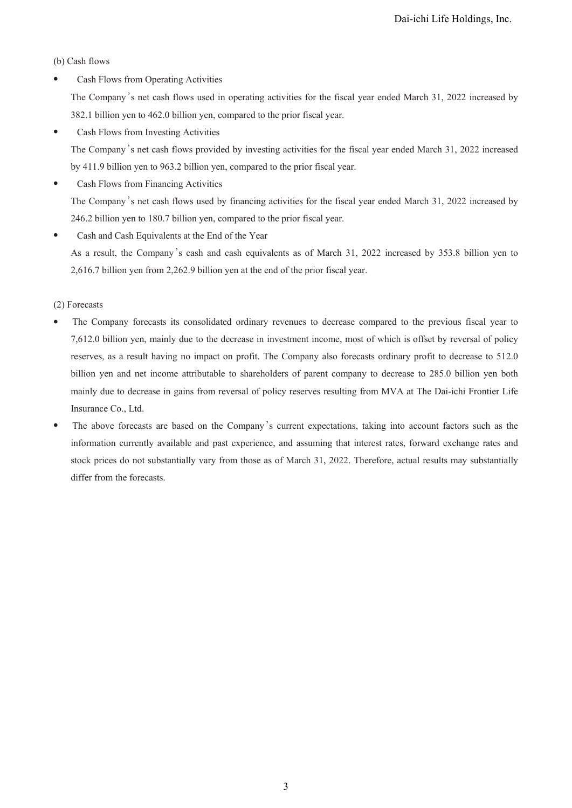(b) Cash flows

• Cash Flows from Operating Activities

The Company's net cash flows used in operating activities for the fiscal year ended March 31, 2022 increased by 382.1 billion yen to 462.0 billion yen, compared to the prior fiscal year.

• Cash Flows from Investing Activities

The Company's net cash flows provided by investing activities for the fiscal year ended March 31, 2022 increased by 411.9 billion yen to 963.2 billion yen, compared to the prior fiscal year.

Cash Flows from Financing Activities

The Company's net cash flows used by financing activities for the fiscal year ended March 31, 2022 increased by 246.2 billion yen to 180.7 billion yen, compared to the prior fiscal year.

● Cash and Cash Equivalents at the End of the Year As a result, the Company's cash and cash equivalents as of March 31, 2022 increased by 353.8 billion yen to

2,616.7 billion yen from 2,262.9 billion yen at the end of the prior fiscal year.

(2) Forecasts

- The Company forecasts its consolidated ordinary revenues to decrease compared to the previous fiscal year to 7,612.0 billion yen, mainly due to the decrease in investment income, most of which is offset by reversal of policy reserves, as a result having no impact on profit. The Company also forecasts ordinary profit to decrease to 512.0 billion yen and net income attributable to shareholders of parent company to decrease to 285.0 billion yen both mainly due to decrease in gains from reversal of policy reserves resulting from MVA at The Dai-ichi Frontier Life Insurance Co., Ltd.
- The above forecasts are based on the Company's current expectations, taking into account factors such as the information currently available and past experience, and assuming that interest rates, forward exchange rates and stock prices do not substantially vary from those as of March 31, 2022. Therefore, actual results may substantially differ from the forecasts.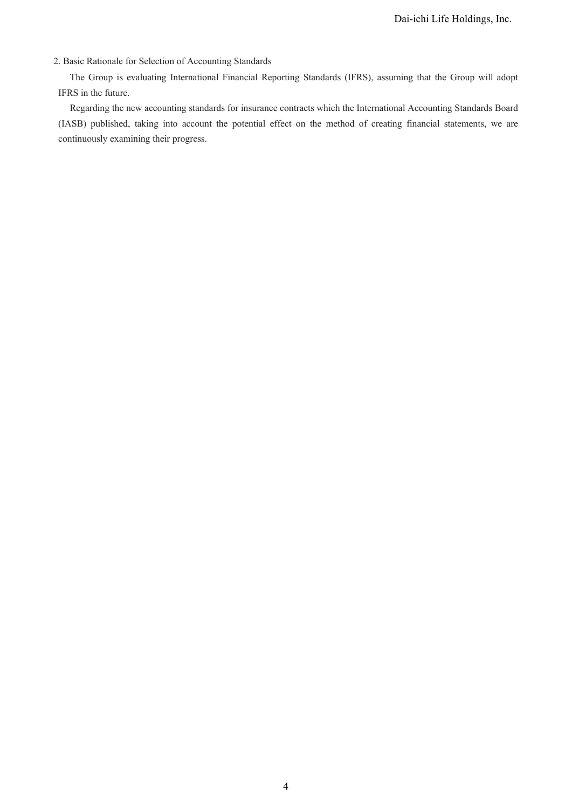## 2. Basic Rationale for Selection of Accounting Standards

The Group is evaluating International Financial Reporting Standards (IFRS), assuming that the Group will adopt IFRS in the future.

Regarding the new accounting standards for insurance contracts which the International Accounting Standards Board (IASB) published, taking into account the potential effect on the method of creating financial statements, we are continuously examining their progress.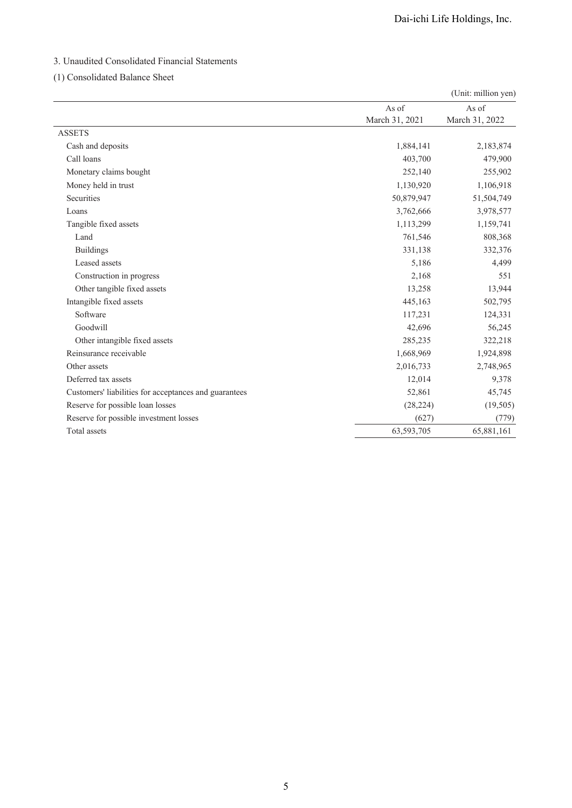# 3. Unaudited Consolidated Financial Statements

## (1) Consolidated Balance Sheet

|                                                       |                | (Unit: million yen) |
|-------------------------------------------------------|----------------|---------------------|
|                                                       | As of          | As of               |
|                                                       | March 31, 2021 | March 31, 2022      |
| <b>ASSETS</b>                                         |                |                     |
| Cash and deposits                                     | 1,884,141      | 2,183,874           |
| Call loans                                            | 403,700        | 479,900             |
| Monetary claims bought                                | 252,140        | 255,902             |
| Money held in trust                                   | 1,130,920      | 1,106,918           |
| Securities                                            | 50,879,947     | 51,504,749          |
| Loans                                                 | 3,762,666      | 3,978,577           |
| Tangible fixed assets                                 | 1,113,299      | 1,159,741           |
| Land                                                  | 761,546        | 808,368             |
| <b>Buildings</b>                                      | 331,138        | 332,376             |
| Leased assets                                         | 5,186          | 4,499               |
| Construction in progress                              | 2,168          | 551                 |
| Other tangible fixed assets                           | 13,258         | 13,944              |
| Intangible fixed assets                               | 445,163        | 502,795             |
| Software                                              | 117,231        | 124,331             |
| Goodwill                                              | 42,696         | 56,245              |
| Other intangible fixed assets                         | 285,235        | 322,218             |
| Reinsurance receivable                                | 1,668,969      | 1,924,898           |
| Other assets                                          | 2,016,733      | 2,748,965           |
| Deferred tax assets                                   | 12,014         | 9,378               |
| Customers' liabilities for acceptances and guarantees | 52,861         | 45,745              |
| Reserve for possible loan losses                      | (28, 224)      | (19, 505)           |
| Reserve for possible investment losses                | (627)          | (779)               |
| Total assets                                          | 63,593,705     | 65,881,161          |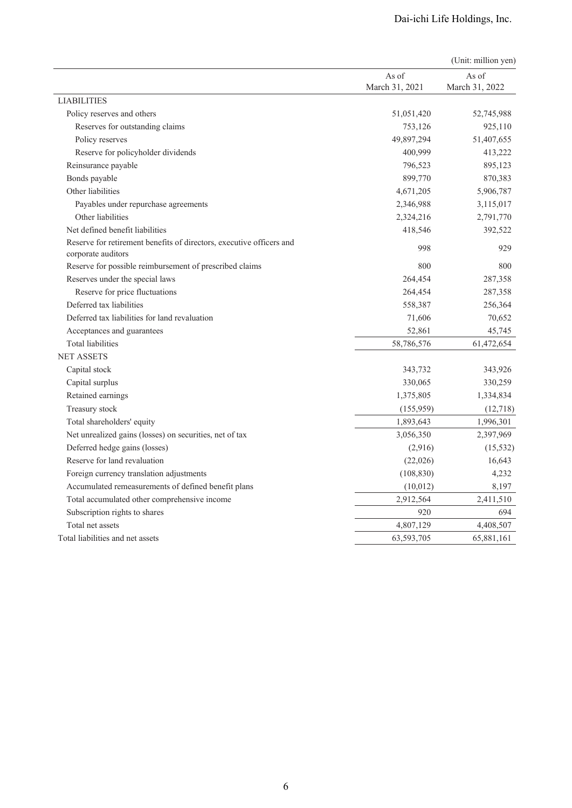|                                                                                            |                | (Unit: million yen) |
|--------------------------------------------------------------------------------------------|----------------|---------------------|
|                                                                                            | As of          | As of               |
|                                                                                            | March 31, 2021 | March 31, 2022      |
| <b>LIABILITIES</b>                                                                         |                |                     |
| Policy reserves and others                                                                 | 51,051,420     | 52,745,988          |
| Reserves for outstanding claims                                                            | 753,126        | 925,110             |
| Policy reserves                                                                            | 49,897,294     | 51,407,655          |
| Reserve for policyholder dividends                                                         | 400,999        | 413,222             |
| Reinsurance payable                                                                        | 796,523        | 895,123             |
| Bonds payable                                                                              | 899,770        | 870,383             |
| Other liabilities                                                                          | 4,671,205      | 5,906,787           |
| Payables under repurchase agreements                                                       | 2,346,988      | 3,115,017           |
| Other liabilities                                                                          | 2,324,216      | 2,791,770           |
| Net defined benefit liabilities                                                            | 418,546        | 392,522             |
| Reserve for retirement benefits of directors, executive officers and<br>corporate auditors | 998            | 929                 |
| Reserve for possible reimbursement of prescribed claims                                    | 800            | 800                 |
| Reserves under the special laws                                                            | 264,454        | 287,358             |
| Reserve for price fluctuations                                                             | 264,454        | 287,358             |
| Deferred tax liabilities                                                                   | 558,387        | 256,364             |
| Deferred tax liabilities for land revaluation                                              | 71,606         | 70,652              |
| Acceptances and guarantees                                                                 | 52,861         | 45,745              |
| <b>Total liabilities</b>                                                                   | 58,786,576     | 61,472,654          |
| <b>NET ASSETS</b>                                                                          |                |                     |
| Capital stock                                                                              | 343,732        | 343,926             |
| Capital surplus                                                                            | 330,065        | 330,259             |
| Retained earnings                                                                          | 1,375,805      | 1,334,834           |
| Treasury stock                                                                             | (155, 959)     | (12,718)            |
| Total shareholders' equity                                                                 | 1,893,643      | 1,996,301           |
| Net unrealized gains (losses) on securities, net of tax                                    | 3,056,350      | 2,397,969           |
| Deferred hedge gains (losses)                                                              | (2,916)        | (15, 532)           |
| Reserve for land revaluation                                                               | (22,026)       | 16,643              |
| Foreign currency translation adjustments                                                   | (108, 830)     | 4,232               |
| Accumulated remeasurements of defined benefit plans                                        | (10,012)       | 8,197               |
| Total accumulated other comprehensive income                                               | 2,912,564      | 2,411,510           |
| Subscription rights to shares                                                              | 920            | 694                 |
| Total net assets                                                                           | 4,807,129      | 4,408,507           |
| Total liabilities and net assets                                                           | 63,593,705     | 65,881,161          |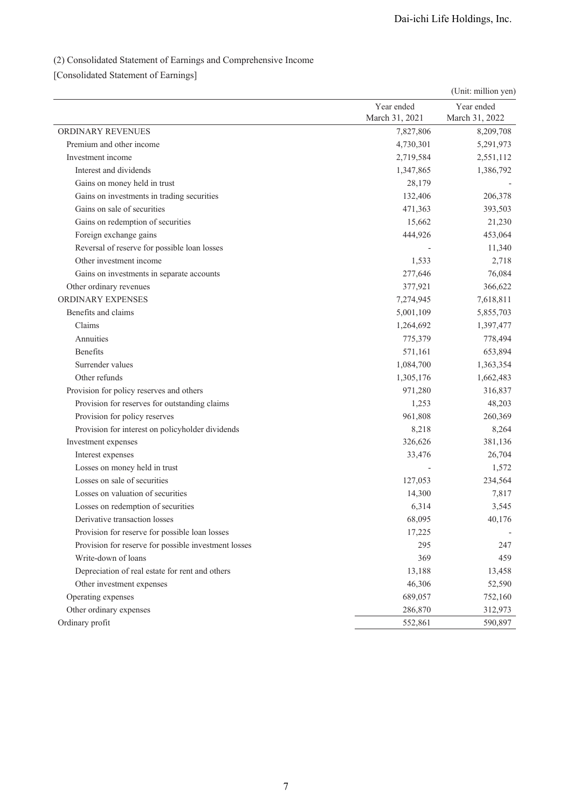# (2) Consolidated Statement of Earnings and Comprehensive Income

[Consolidated Statement of Earnings]

|                                                      |                | (Unit: million yen) |
|------------------------------------------------------|----------------|---------------------|
|                                                      | Year ended     | Year ended          |
|                                                      | March 31, 2021 | March 31, 2022      |
| ORDINARY REVENUES                                    | 7,827,806      | 8,209,708           |
| Premium and other income                             | 4,730,301      | 5,291,973           |
| Investment income                                    | 2,719,584      | 2,551,112           |
| Interest and dividends                               | 1,347,865      | 1,386,792           |
| Gains on money held in trust                         | 28,179         |                     |
| Gains on investments in trading securities           | 132,406        | 206,378             |
| Gains on sale of securities                          | 471,363        | 393,503             |
| Gains on redemption of securities                    | 15,662         | 21,230              |
| Foreign exchange gains                               | 444,926        | 453,064             |
| Reversal of reserve for possible loan losses         |                | 11,340              |
| Other investment income                              | 1,533          | 2,718               |
| Gains on investments in separate accounts            | 277,646        | 76,084              |
| Other ordinary revenues                              | 377,921        | 366,622             |
| ORDINARY EXPENSES                                    | 7,274,945      | 7,618,811           |
| Benefits and claims                                  | 5,001,109      | 5,855,703           |
| Claims                                               | 1,264,692      | 1,397,477           |
| Annuities                                            | 775,379        | 778,494             |
| <b>Benefits</b>                                      | 571,161        | 653,894             |
| Surrender values                                     | 1,084,700      | 1,363,354           |
| Other refunds                                        | 1,305,176      | 1,662,483           |
| Provision for policy reserves and others             | 971,280        | 316,837             |
| Provision for reserves for outstanding claims        | 1,253          | 48,203              |
| Provision for policy reserves                        | 961,808        | 260,369             |
| Provision for interest on policyholder dividends     | 8,218          | 8,264               |
| Investment expenses                                  | 326,626        | 381,136             |
| Interest expenses                                    | 33,476         | 26,704              |
| Losses on money held in trust                        |                | 1,572               |
| Losses on sale of securities                         | 127,053        | 234,564             |
| Losses on valuation of securities                    | 14,300         | 7,817               |
| Losses on redemption of securities                   | 6,314          | 3,545               |
| Derivative transaction losses                        | 68,095         | 40,176              |
| Provision for reserve for possible loan losses       | 17,225         |                     |
| Provision for reserve for possible investment losses | 295            | 247                 |
| Write-down of loans                                  | 369            | 459                 |
| Depreciation of real estate for rent and others      | 13,188         | 13,458              |
| Other investment expenses                            | 46,306         | 52,590              |
| Operating expenses                                   | 689,057        | 752,160             |
| Other ordinary expenses                              | 286,870        | 312,973             |
| Ordinary profit                                      | 552,861        | 590,897             |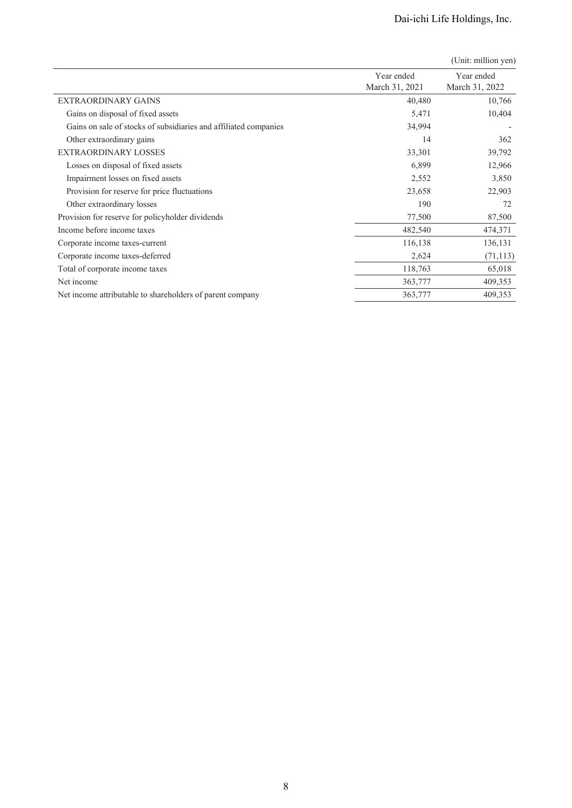|                                                                  | Year ended<br>March 31, 2021 | Year ended<br>March 31, 2022 |
|------------------------------------------------------------------|------------------------------|------------------------------|
| <b>EXTRAORDINARY GAINS</b>                                       | 40,480                       | 10,766                       |
| Gains on disposal of fixed assets                                | 5,471                        | 10,404                       |
| Gains on sale of stocks of subsidiaries and affiliated companies | 34,994                       |                              |
| Other extraordinary gains                                        | 14                           | 362                          |
| <b>EXTRAORDINARY LOSSES</b>                                      | 33,301                       | 39,792                       |
| Losses on disposal of fixed assets                               | 6,899                        | 12,966                       |
| Impairment losses on fixed assets                                | 2,552                        | 3,850                        |
| Provision for reserve for price fluctuations                     | 23,658                       | 22,903                       |
| Other extraordinary losses                                       | 190                          | 72                           |
| Provision for reserve for policyholder dividends                 | 77,500                       | 87,500                       |
| Income before income taxes                                       | 482,540                      | 474,371                      |
| Corporate income taxes-current                                   | 116,138                      | 136,131                      |
| Corporate income taxes-deferred                                  | 2,624                        | (71, 113)                    |
| Total of corporate income taxes                                  | 118,763                      | 65,018                       |
| Net income                                                       | 363,777                      | 409,353                      |
| Net income attributable to shareholders of parent company        | 363,777                      | 409,353                      |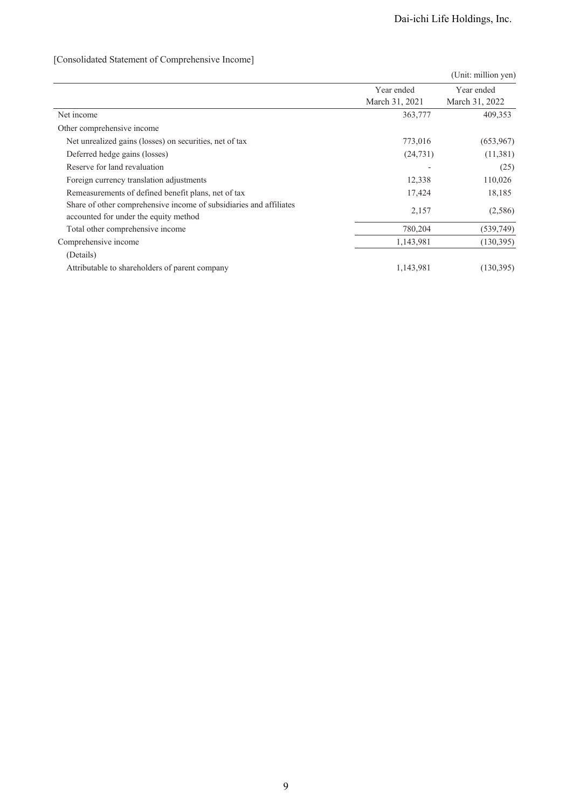# [Consolidated Statement of Comprehensive Income]

|                                                                                                             |                              | (Unit: million yen)          |
|-------------------------------------------------------------------------------------------------------------|------------------------------|------------------------------|
|                                                                                                             | Year ended<br>March 31, 2021 | Year ended<br>March 31, 2022 |
| Net income                                                                                                  | 363,777                      | 409,353                      |
| Other comprehensive income                                                                                  |                              |                              |
| Net unrealized gains (losses) on securities, net of tax                                                     | 773,016                      | (653,967)                    |
| Deferred hedge gains (losses)                                                                               | (24, 731)                    | (11,381)                     |
| Reserve for land revaluation                                                                                |                              | (25)                         |
| Foreign currency translation adjustments                                                                    | 12,338                       | 110,026                      |
| Remeasurements of defined benefit plans, net of tax                                                         | 17,424                       | 18,185                       |
| Share of other comprehensive income of subsidiaries and affiliates<br>accounted for under the equity method | 2,157                        | (2,586)                      |
| Total other comprehensive income                                                                            | 780,204                      | (539,749)                    |
| Comprehensive income                                                                                        | 1,143,981                    | (130, 395)                   |
| (Details)                                                                                                   |                              |                              |
| Attributable to shareholders of parent company                                                              | 1,143,981                    | (130, 395)                   |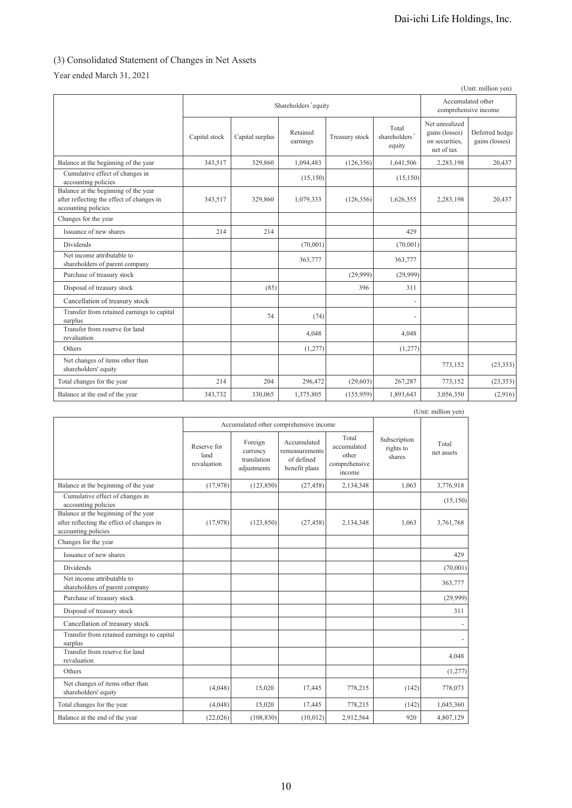# (3) Consolidated Statement of Changes in Net Assets

Year ended March 31, 2021

|                                                                                                          |               |                      |                      |                |                                  |                                                                  | (Unit: million yen)                       |
|----------------------------------------------------------------------------------------------------------|---------------|----------------------|----------------------|----------------|----------------------------------|------------------------------------------------------------------|-------------------------------------------|
|                                                                                                          |               | Shareholders' equity |                      |                |                                  |                                                                  | Accumulated other<br>comprehensive income |
|                                                                                                          | Capital stock | Capital surplus      | Retained<br>earnings | Treasury stock | Total<br>shareholders'<br>equity | Net unrealized<br>gains (losses)<br>on securities,<br>net of tax | Deferred hedge<br>gains (losses)          |
| Balance at the beginning of the year                                                                     | 343,517       | 329,860              | 1,094,483            | (126, 356)     | 1,641,506                        | 2,283,198                                                        | 20,437                                    |
| Cumulative effect of changes in<br>accounting policies                                                   |               |                      | (15, 150)            |                | (15, 150)                        |                                                                  |                                           |
| Balance at the beginning of the year<br>after reflecting the effect of changes in<br>accounting policies | 343,517       | 329,860              | 1,079,333            | (126, 356)     | 1,626,355                        | 2,283,198                                                        | 20,437                                    |
| Changes for the year                                                                                     |               |                      |                      |                |                                  |                                                                  |                                           |
| Issuance of new shares                                                                                   | 214           | 214                  |                      |                | 429                              |                                                                  |                                           |
| <b>Dividends</b>                                                                                         |               |                      | (70,001)             |                | (70,001)                         |                                                                  |                                           |
| Net income attributable to<br>shareholders of parent company                                             |               |                      | 363,777              |                | 363,777                          |                                                                  |                                           |
| Purchase of treasury stock                                                                               |               |                      |                      | (29,999)       | (29,999)                         |                                                                  |                                           |
| Disposal of treasury stock                                                                               |               | (85)                 |                      | 396            | 311                              |                                                                  |                                           |
| Cancellation of treasury stock                                                                           |               |                      |                      |                | ÷.                               |                                                                  |                                           |
| Transfer from retained earnings to capital<br>surplus                                                    |               | 74                   | (74)                 |                | ä,                               |                                                                  |                                           |
| Transfer from reserve for land<br>revaluation                                                            |               |                      | 4.048                |                | 4,048                            |                                                                  |                                           |
| Others                                                                                                   |               |                      | (1,277)              |                | (1,277)                          |                                                                  |                                           |
| Net changes of items other than<br>shareholders' equity                                                  |               |                      |                      |                |                                  | 773,152                                                          | (23, 353)                                 |
| Total changes for the year                                                                               | 214           | 204                  | 296,472              | (29,603)       | 267,287                          | 773,152                                                          | (23, 353)                                 |
| Balance at the end of the year                                                                           | 343,732       | 330,065              | 1,375,805            | (155, 959)     | 1,893,643                        | 3,056,350                                                        | (2,916)                                   |

|                                                                                                          |                                    |                                                   |                                                              |                                                          |                                     | (Unit: million yen) |
|----------------------------------------------------------------------------------------------------------|------------------------------------|---------------------------------------------------|--------------------------------------------------------------|----------------------------------------------------------|-------------------------------------|---------------------|
|                                                                                                          |                                    | Accumulated other comprehensive income            |                                                              |                                                          |                                     |                     |
|                                                                                                          | Reserve for<br>land<br>revaluation | Foreign<br>currency<br>translation<br>adjustments | Accumulated<br>remeasurements<br>of defined<br>benefit plans | Total<br>accumulated<br>other<br>comprehensive<br>income | Subscription<br>rights to<br>shares | Total<br>net assets |
| Balance at the beginning of the year                                                                     | (17,978)                           | (123, 850)                                        | (27.458)                                                     | 2,134,348                                                | 1.063                               | 3,776,918           |
| Cumulative effect of changes in<br>accounting policies                                                   |                                    |                                                   |                                                              |                                                          |                                     | (15, 150)           |
| Balance at the beginning of the year<br>after reflecting the effect of changes in<br>accounting policies | (17,978)                           | (123, 850)                                        | (27, 458)                                                    | 2,134,348                                                | 1.063                               | 3,761,768           |
| Changes for the year                                                                                     |                                    |                                                   |                                                              |                                                          |                                     |                     |
| Issuance of new shares                                                                                   |                                    |                                                   |                                                              |                                                          |                                     | 429                 |
| <b>Dividends</b>                                                                                         |                                    |                                                   |                                                              |                                                          |                                     | (70,001)            |
| Net income attributable to<br>shareholders of parent company                                             |                                    |                                                   |                                                              |                                                          |                                     | 363,777             |
| Purchase of treasury stock                                                                               |                                    |                                                   |                                                              |                                                          |                                     | (29,999)            |
| Disposal of treasury stock                                                                               |                                    |                                                   |                                                              |                                                          |                                     | 311                 |
| Cancellation of treasury stock                                                                           |                                    |                                                   |                                                              |                                                          |                                     |                     |
| Transfer from retained earnings to capital<br>surplus                                                    |                                    |                                                   |                                                              |                                                          |                                     |                     |
| Transfer from reserve for land<br>revaluation                                                            |                                    |                                                   |                                                              |                                                          |                                     | 4,048               |
| Others                                                                                                   |                                    |                                                   |                                                              |                                                          |                                     | (1,277)             |
| Net changes of items other than<br>shareholders' equity                                                  | (4,048)                            | 15,020                                            | 17,445                                                       | 778,215                                                  | (142)                               | 778,073             |
| Total changes for the year                                                                               | (4,048)                            | 15,020                                            | 17,445                                                       | 778,215                                                  | (142)                               | 1,045,360           |
| Balance at the end of the year                                                                           | (22,026)                           | (108, 830)                                        | (10,012)                                                     | 2,912,564                                                | 920                                 | 4,807,129           |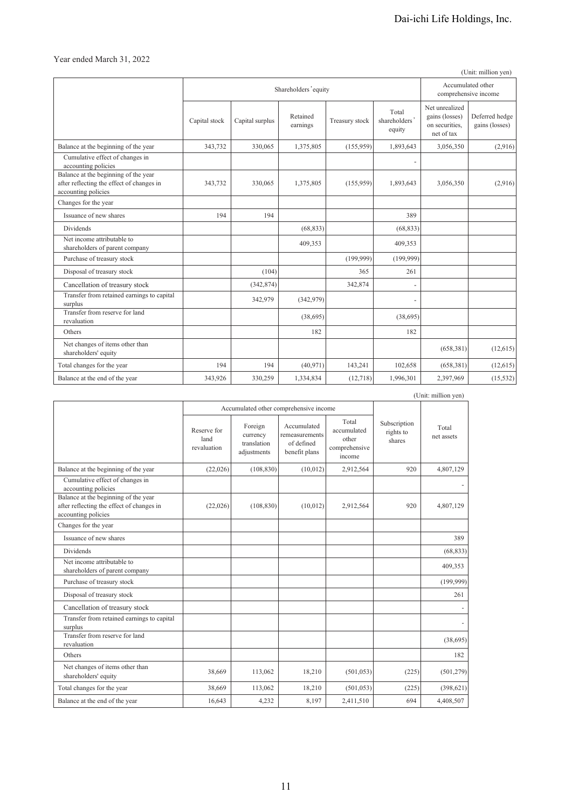Year ended March 31, 2022

|                                                                                                          |               |                      |                                           |                |                                  |                                                                  | (Unit: million yen)              |
|----------------------------------------------------------------------------------------------------------|---------------|----------------------|-------------------------------------------|----------------|----------------------------------|------------------------------------------------------------------|----------------------------------|
|                                                                                                          |               | Shareholders' equity | Accumulated other<br>comprehensive income |                |                                  |                                                                  |                                  |
|                                                                                                          | Capital stock | Capital surplus      | Retained<br>earnings                      | Treasury stock | Total<br>shareholders'<br>equity | Net unrealized<br>gains (losses)<br>on securities,<br>net of tax | Deferred hedge<br>gains (losses) |
| Balance at the beginning of the year                                                                     | 343,732       | 330,065              | 1,375,805                                 | (155,959)      | 1,893,643                        | 3,056,350                                                        | (2,916)                          |
| Cumulative effect of changes in<br>accounting policies                                                   |               |                      |                                           |                | $\overline{\phantom{a}}$         |                                                                  |                                  |
| Balance at the beginning of the year<br>after reflecting the effect of changes in<br>accounting policies | 343,732       | 330,065              | 1,375,805                                 | (155,959)      | 1,893,643                        | 3,056,350                                                        | (2,916)                          |
| Changes for the year                                                                                     |               |                      |                                           |                |                                  |                                                                  |                                  |
| Issuance of new shares                                                                                   | 194           | 194                  |                                           |                | 389                              |                                                                  |                                  |
| Dividends                                                                                                |               |                      | (68, 833)                                 |                | (68, 833)                        |                                                                  |                                  |
| Net income attributable to<br>shareholders of parent company                                             |               |                      | 409,353                                   |                | 409,353                          |                                                                  |                                  |
| Purchase of treasury stock                                                                               |               |                      |                                           | (199,999)      | (199,999)                        |                                                                  |                                  |
| Disposal of treasury stock                                                                               |               | (104)                |                                           | 365            | 261                              |                                                                  |                                  |
| Cancellation of treasury stock                                                                           |               | (342, 874)           |                                           | 342,874        | $\overline{\phantom{m}}$         |                                                                  |                                  |
| Transfer from retained earnings to capital<br>surplus                                                    |               | 342,979              | (342,979)                                 |                | $\overline{\phantom{a}}$         |                                                                  |                                  |
| Transfer from reserve for land<br>revaluation                                                            |               |                      | (38,695)                                  |                | (38,695)                         |                                                                  |                                  |
| Others                                                                                                   |               |                      | 182                                       |                | 182                              |                                                                  |                                  |
| Net changes of items other than<br>shareholders' equity                                                  |               |                      |                                           |                |                                  | (658, 381)                                                       | (12,615)                         |
| Total changes for the year                                                                               | 194           | 194                  | (40, 971)                                 | 143,241        | 102,658                          | (658, 381)                                                       | (12,615)                         |
| Balance at the end of the year                                                                           | 343,926       | 330,259              | 1,334,834                                 | (12,718)       | 1,996,301                        | 2,397,969                                                        | (15, 532)                        |

|                                                                                                          |                                    |                                                   |                                                              |                                                          |                                     | (Unit: million yen) |
|----------------------------------------------------------------------------------------------------------|------------------------------------|---------------------------------------------------|--------------------------------------------------------------|----------------------------------------------------------|-------------------------------------|---------------------|
|                                                                                                          |                                    | Accumulated other comprehensive income            |                                                              |                                                          |                                     |                     |
|                                                                                                          | Reserve for<br>land<br>revaluation | Foreign<br>currency<br>translation<br>adjustments | Accumulated<br>remeasurements<br>of defined<br>benefit plans | Total<br>accumulated<br>other<br>comprehensive<br>income | Subscription<br>rights to<br>shares | Total<br>net assets |
| Balance at the beginning of the year                                                                     | (22,026)                           | (108, 830)                                        | (10,012)                                                     | 2,912,564                                                | 920                                 | 4,807,129           |
| Cumulative effect of changes in<br>accounting policies                                                   |                                    |                                                   |                                                              |                                                          |                                     |                     |
| Balance at the beginning of the year<br>after reflecting the effect of changes in<br>accounting policies | (22,026)                           | (108, 830)                                        | (10,012)                                                     | 2,912,564                                                | 920                                 | 4,807,129           |
| Changes for the year                                                                                     |                                    |                                                   |                                                              |                                                          |                                     |                     |
| Issuance of new shares                                                                                   |                                    |                                                   |                                                              |                                                          |                                     | 389                 |
| <b>Dividends</b>                                                                                         |                                    |                                                   |                                                              |                                                          |                                     | (68, 833)           |
| Net income attributable to<br>shareholders of parent company                                             |                                    |                                                   |                                                              |                                                          |                                     | 409,353             |
| Purchase of treasury stock                                                                               |                                    |                                                   |                                                              |                                                          |                                     | (199,999)           |
| Disposal of treasury stock                                                                               |                                    |                                                   |                                                              |                                                          |                                     | 261                 |
| Cancellation of treasury stock                                                                           |                                    |                                                   |                                                              |                                                          |                                     |                     |
| Transfer from retained earnings to capital<br>surplus                                                    |                                    |                                                   |                                                              |                                                          |                                     |                     |
| Transfer from reserve for land<br>revaluation                                                            |                                    |                                                   |                                                              |                                                          |                                     | (38, 695)           |
| Others                                                                                                   |                                    |                                                   |                                                              |                                                          |                                     | 182                 |
| Net changes of items other than<br>shareholders' equity                                                  | 38,669                             | 113,062                                           | 18,210                                                       | (501, 053)                                               | (225)                               | (501, 279)          |
| Total changes for the year                                                                               | 38,669                             | 113,062                                           | 18,210                                                       | (501, 053)                                               | (225)                               | (398, 621)          |
| Balance at the end of the year                                                                           | 16,643                             | 4,232                                             | 8,197                                                        | 2,411,510                                                | 694                                 | 4,408,507           |

11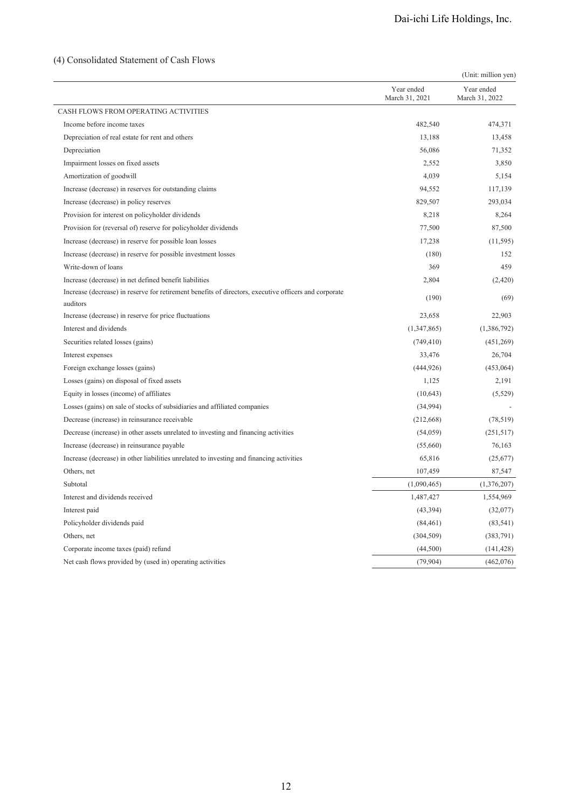## (4) Consolidated Statement of Cash Flows

|                                                                                                                   |                              | (Unit: million yen)          |
|-------------------------------------------------------------------------------------------------------------------|------------------------------|------------------------------|
|                                                                                                                   | Year ended<br>March 31, 2021 | Year ended<br>March 31, 2022 |
| CASH FLOWS FROM OPERATING ACTIVITIES                                                                              |                              |                              |
| Income before income taxes                                                                                        | 482,540                      | 474,371                      |
| Depreciation of real estate for rent and others                                                                   | 13,188                       | 13,458                       |
| Depreciation                                                                                                      | 56,086                       | 71,352                       |
| Impairment losses on fixed assets                                                                                 | 2,552                        | 3,850                        |
| Amortization of goodwill                                                                                          | 4,039                        | 5,154                        |
| Increase (decrease) in reserves for outstanding claims                                                            | 94,552                       | 117,139                      |
| Increase (decrease) in policy reserves                                                                            | 829,507                      | 293,034                      |
| Provision for interest on policyholder dividends                                                                  | 8,218                        | 8,264                        |
| Provision for (reversal of) reserve for policyholder dividends                                                    | 77,500                       | 87,500                       |
| Increase (decrease) in reserve for possible loan losses                                                           | 17,238                       | (11, 595)                    |
| Increase (decrease) in reserve for possible investment losses                                                     | (180)                        | 152                          |
| Write-down of loans                                                                                               | 369                          | 459                          |
| Increase (decrease) in net defined benefit liabilities                                                            | 2,804                        | (2,420)                      |
| Increase (decrease) in reserve for retirement benefits of directors, executive officers and corporate<br>auditors | (190)                        | (69)                         |
| Increase (decrease) in reserve for price fluctuations                                                             | 23,658                       | 22,903                       |
| Interest and dividends                                                                                            | (1,347,865)                  | (1,386,792)                  |
| Securities related losses (gains)                                                                                 | (749, 410)                   | (451,269)                    |
| Interest expenses                                                                                                 | 33,476                       | 26,704                       |
| Foreign exchange losses (gains)                                                                                   | (444, 926)                   | (453,064)                    |
| Losses (gains) on disposal of fixed assets                                                                        | 1,125                        | 2,191                        |
| Equity in losses (income) of affiliates                                                                           | (10,643)                     | (5,529)                      |
| Losses (gains) on sale of stocks of subsidiaries and affiliated companies                                         | (34,994)                     |                              |
| Decrease (increase) in reinsurance receivable                                                                     | (212, 668)                   | (78, 519)                    |
| Decrease (increase) in other assets unrelated to investing and financing activities                               | (54, 059)                    | (251, 517)                   |
| Increase (decrease) in reinsurance payable                                                                        | (55,660)                     | 76,163                       |
| Increase (decrease) in other liabilities unrelated to investing and financing activities                          | 65,816                       | (25, 677)                    |
| Others, net                                                                                                       | 107,459                      | 87,547                       |
| Subtotal                                                                                                          | (1,090,465)                  | (1,376,207)                  |
| Interest and dividends received                                                                                   | 1,487,427                    | 1,554,969                    |
| Interest paid                                                                                                     | (43,394)                     | (32,077)                     |
| Policyholder dividends paid                                                                                       | (84, 461)                    | (83, 541)                    |
| Others, net                                                                                                       | (304, 509)                   | (383,791)                    |
| Corporate income taxes (paid) refund                                                                              | (44,500)                     | (141, 428)                   |
| Net cash flows provided by (used in) operating activities                                                         | (79, 904)                    | (462,076)                    |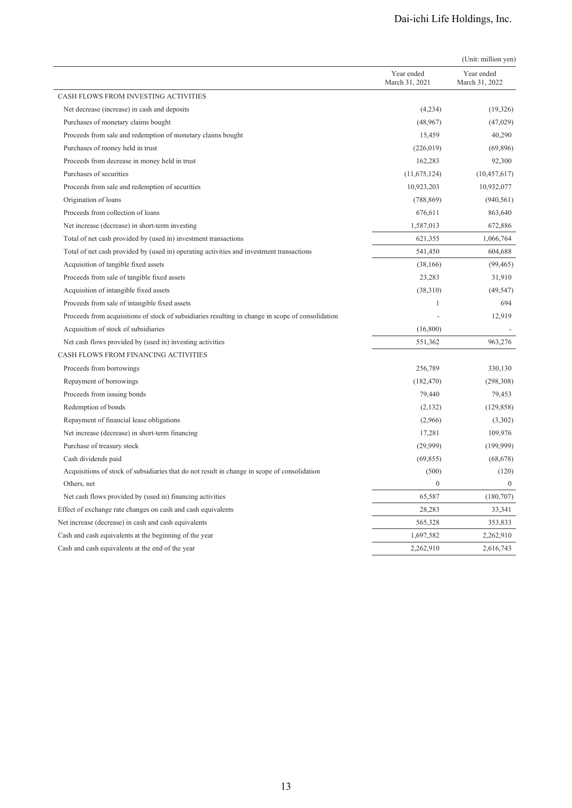|                                                                                                   |                              | (Unit: million yen)          |
|---------------------------------------------------------------------------------------------------|------------------------------|------------------------------|
|                                                                                                   | Year ended<br>March 31, 2021 | Year ended<br>March 31, 2022 |
| CASH FLOWS FROM INVESTING ACTIVITIES                                                              |                              |                              |
| Net decrease (increase) in cash and deposits                                                      | (4,234)                      | (19,326)                     |
| Purchases of monetary claims bought                                                               | (48,967)                     | (47, 029)                    |
| Proceeds from sale and redemption of monetary claims bought                                       | 15,459                       | 40,290                       |
| Purchases of money held in trust                                                                  | (226, 019)                   | (69, 896)                    |
| Proceeds from decrease in money held in trust                                                     | 162,283                      | 92,300                       |
| Purchases of securities                                                                           | (11,675,124)                 | (10, 457, 617)               |
| Proceeds from sale and redemption of securities                                                   | 10,923,203                   | 10,932,077                   |
| Origination of loans                                                                              | (788, 869)                   | (940, 561)                   |
| Proceeds from collection of loans                                                                 | 676,611                      | 863,640                      |
| Net increase (decrease) in short-term investing                                                   | 1,587,013                    | 672,886                      |
| Total of net cash provided by (used in) investment transactions                                   | 621,355                      | 1,066,764                    |
| Total of net cash provided by (used in) operating activities and investment transactions          | 541,450                      | 604,688                      |
| Acquisition of tangible fixed assets                                                              | (38, 166)                    | (99, 465)                    |
| Proceeds from sale of tangible fixed assets                                                       | 23,283                       | 31,910                       |
| Acquisition of intangible fixed assets                                                            | (38,310)                     | (49, 547)                    |
| Proceeds from sale of intangible fixed assets                                                     | $\mathbf{1}$                 | 694                          |
| Proceeds from acquisitions of stock of subsidiaries resulting in change in scope of consolidation |                              | 12,919                       |
| Acquisition of stock of subsidiaries                                                              | (16,800)                     |                              |
| Net cash flows provided by (used in) investing activities                                         | 551,362                      | 963,276                      |
| CASH FLOWS FROM FINANCING ACTIVITIES                                                              |                              |                              |
| Proceeds from borrowings                                                                          | 256,789                      | 330,130                      |
| Repayment of borrowings                                                                           | (182, 470)                   | (298, 308)                   |
| Proceeds from issuing bonds                                                                       | 79,440                       | 79,453                       |
| Redemption of bonds                                                                               | (2,132)                      | (129, 858)                   |
| Repayment of financial lease obligations                                                          | (2,966)                      | (3,302)                      |
| Net increase (decrease) in short-term financing                                                   | 17,281                       | 109,976                      |
| Purchase of treasury stock                                                                        | (29,999)                     | (199, 999)                   |
| Cash dividends paid                                                                               | (69, 855)                    | (68, 678)                    |
| Acquisitions of stock of subsidiaries that do not result in change in scope of consolidation      | (500)                        | (120)                        |
| Others, net                                                                                       | $\boldsymbol{0}$             | $\Omega$                     |
| Net cash flows provided by (used in) financing activities                                         | 65,587                       | (180,707)                    |
| Effect of exchange rate changes on cash and cash equivalents                                      | 28,283                       | 33,341                       |
| Net increase (decrease) in cash and cash equivalents                                              | 565,328                      | 353,833                      |
| Cash and cash equivalents at the beginning of the year                                            | 1,697,582                    | 2,262,910                    |
| Cash and cash equivalents at the end of the year                                                  | 2,262,910                    | 2,616,743                    |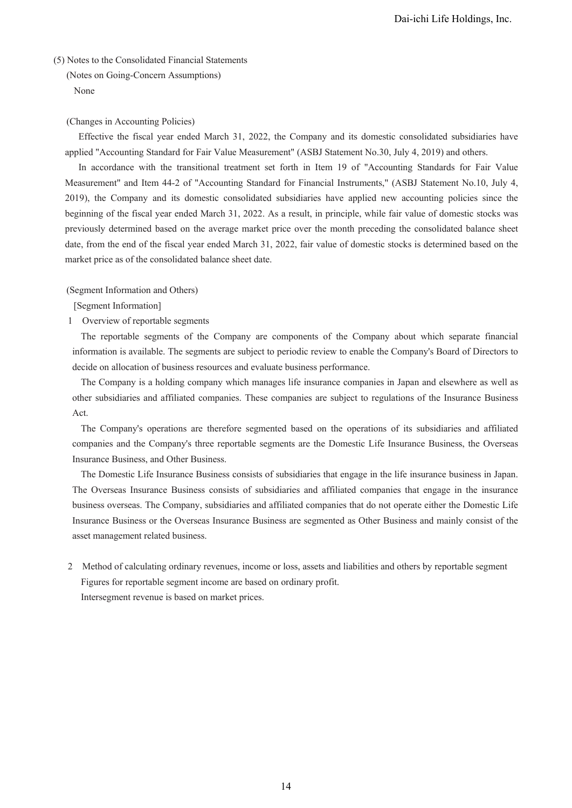### (5) Notes to the Consolidated Financial Statements

(Notes on Going-Concern Assumptions) None

#### (Changes in Accounting Policies)

Effective the fiscal year ended March 31, 2022, the Company and its domestic consolidated subsidiaries have applied "Accounting Standard for Fair Value Measurement" (ASBJ Statement No.30, July 4, 2019) and others.

In accordance with the transitional treatment set forth in Item 19 of "Accounting Standards for Fair Value Measurement" and Item 44-2 of "Accounting Standard for Financial Instruments," (ASBJ Statement No.10, July 4, 2019), the Company and its domestic consolidated subsidiaries have applied new accounting policies since the beginning of the fiscal year ended March 31, 2022. As a result, in principle, while fair value of domestic stocks was previously determined based on the average market price over the month preceding the consolidated balance sheet date, from the end of the fiscal year ended March 31, 2022, fair value of domestic stocks is determined based on the market price as of the consolidated balance sheet date.

(Segment Information and Others)

[Segment Information]

1 Overview of reportable segments

The reportable segments of the Company are components of the Company about which separate financial information is available. The segments are subject to periodic review to enable the Company's Board of Directors to decide on allocation of business resources and evaluate business performance.

The Company is a holding company which manages life insurance companies in Japan and elsewhere as well as other subsidiaries and affiliated companies. These companies are subject to regulations of the Insurance Business Act.

The Company's operations are therefore segmented based on the operations of its subsidiaries and affiliated companies and the Company's three reportable segments are the Domestic Life Insurance Business, the Overseas Insurance Business, and Other Business.

The Domestic Life Insurance Business consists of subsidiaries that engage in the life insurance business in Japan. The Overseas Insurance Business consists of subsidiaries and affiliated companies that engage in the insurance business overseas. The Company, subsidiaries and affiliated companies that do not operate either the Domestic Life Insurance Business or the Overseas Insurance Business are segmented as Other Business and mainly consist of the asset management related business.

2 Method of calculating ordinary revenues, income or loss, assets and liabilities and others by reportable segment Figures for reportable segment income are based on ordinary profit. Intersegment revenue is based on market prices.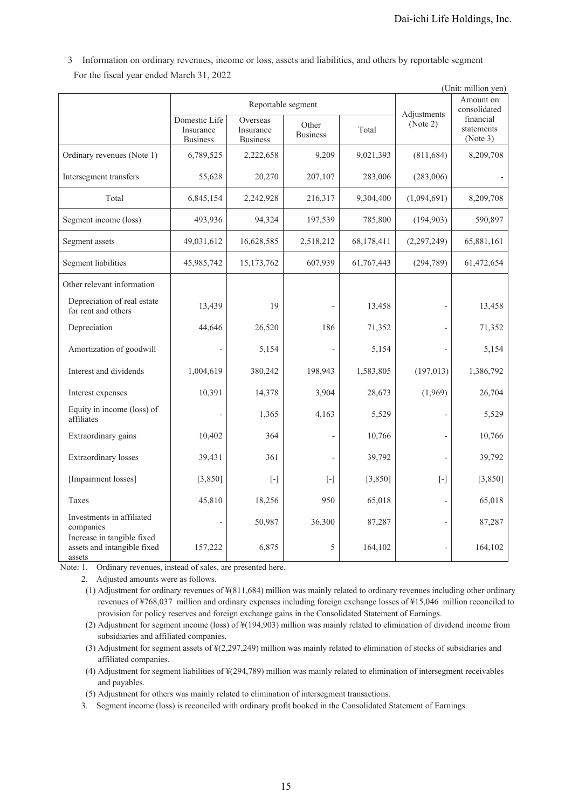3 Information on ordinary revenues, income or loss, assets and liabilities, and others by reportable segment For the fiscal year ended March 31, 2022

|                                                                     | (Unit: million yen)                           |                                          |                          |            |                          |                                     |
|---------------------------------------------------------------------|-----------------------------------------------|------------------------------------------|--------------------------|------------|--------------------------|-------------------------------------|
|                                                                     |                                               |                                          | Reportable segment       |            |                          | Amount on<br>consolidated           |
|                                                                     | Domestic Life<br>Insurance<br><b>Business</b> | Overseas<br>Insurance<br><b>Business</b> | Other<br><b>Business</b> | Total      | Adjustments<br>(Note 2)  | financial<br>statements<br>(Note 3) |
| Ordinary revenues (Note 1)                                          | 6,789,525                                     | 2,222,658                                | 9,209                    | 9,021,393  | (811, 684)               | 8,209,708                           |
| Intersegment transfers                                              | 55,628                                        | 20,270                                   | 207,107                  | 283,006    | (283,006)                |                                     |
| Total                                                               | 6,845,154                                     | 2,242,928                                | 216,317                  | 9,304,400  | (1,094,691)              | 8,209,708                           |
| Segment income (loss)                                               | 493,936                                       | 94,324                                   | 197,539                  | 785,800    | (194, 903)               | 590,897                             |
| Segment assets                                                      | 49,031,612                                    | 16,628,585                               | 2,518,212                | 68,178,411 | (2,297,249)              | 65,881,161                          |
| <b>Segment liabilities</b>                                          | 45,985,742                                    | 15, 173, 762                             | 607,939                  | 61,767,443 | (294, 789)               | 61,472,654                          |
| Other relevant information                                          |                                               |                                          |                          |            |                          |                                     |
| Depreciation of real estate<br>for rent and others                  | 13,439                                        | 19                                       |                          | 13,458     |                          | 13,458                              |
| Depreciation                                                        | 44,646                                        | 26,520                                   | 186                      | 71,352     | $\overline{a}$           | 71,352                              |
| Amortization of goodwill                                            |                                               | 5,154                                    |                          | 5,154      |                          | 5,154                               |
| Interest and dividends                                              | 1,004,619                                     | 380,242                                  | 198,943                  | 1,583,805  | (197, 013)               | 1,386,792                           |
| Interest expenses                                                   | 10,391                                        | 14,378                                   | 3,904                    | 28,673     | (1,969)                  | 26,704                              |
| Equity in income (loss) of<br>affiliates                            |                                               | 1,365                                    | 4,163                    | 5,529      |                          | 5,529                               |
| Extraordinary gains                                                 | 10,402                                        | 364                                      |                          | 10,766     | $\overline{\phantom{a}}$ | 10,766                              |
| <b>Extraordinary</b> losses                                         | 39,431                                        | 361                                      |                          | 39,792     | $\overline{\phantom{0}}$ | 39,792                              |
| [Impairment losses]                                                 | [3,850]                                       | $[\cdot]$                                | $[\cdot]$                | [3,850]    | $[\cdot]$                | [3,850]                             |
| Taxes                                                               | 45,810                                        | 18,256                                   | 950                      | 65,018     | $\frac{1}{2}$            | 65,018                              |
| Investments in affiliated<br>companies                              |                                               | 50,987                                   | 36,300                   | 87,287     | $\overline{\phantom{a}}$ | 87,287                              |
| Increase in tangible fixed<br>assets and intangible fixed<br>assets | 157,222                                       | 6,875                                    | 5                        | 164,102    | $\overline{a}$           | 164,102                             |

Note: 1. Ordinary revenues, instead of sales, are presented here.

2. Adjusted amounts were as follows.

(1) Adjustment for ordinary revenues of ¥(811,684) million was mainly related to ordinary revenues including other ordinary revenues of ¥768,037 million and ordinary expenses including foreign exchange losses of ¥15,046 million reconciled to provision for policy reserves and foreign exchange gains in the Consolidated Statement of Earnings.

(2) Adjustment for segment income (loss) of ¥(194,903) million was mainly related to elimination of dividend income from subsidiaries and affiliated companies.

(3) Adjustment for segment assets of ¥(2,297,249) million was mainly related to elimination of stocks of subsidiaries and affiliated companies.

(4) Adjustment for segment liabilities of ¥(294,789) million was mainly related to elimination of intersegment receivables and payables.

(5) Adjustment for others was mainly related to elimination of intersegment transactions.

3. Segment income (loss) is reconciled with ordinary profit booked in the Consolidated Statement of Earnings.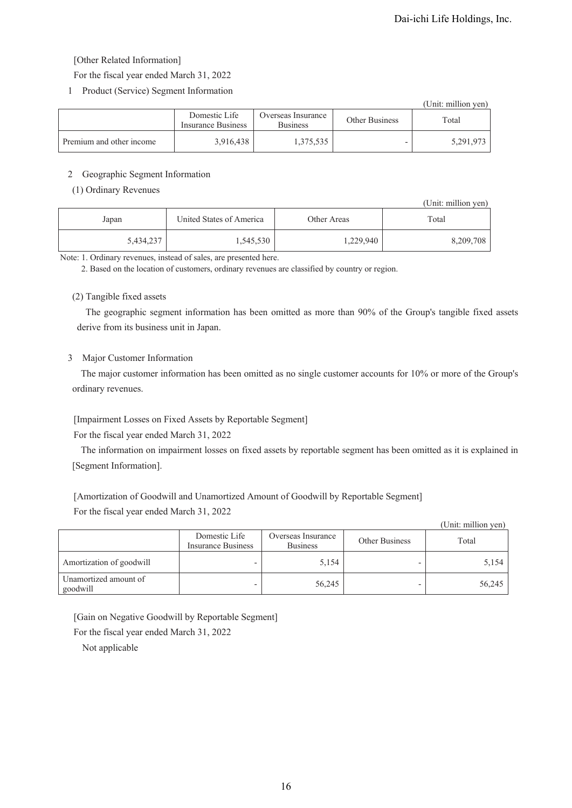### [Other Related Information]

For the fiscal year ended March 31, 2022

1 Product (Service) Segment Information

|                          |                                     |                                       |                | (Unit: million yen) |
|--------------------------|-------------------------------------|---------------------------------------|----------------|---------------------|
|                          | Domestic Life<br>Insurance Business | Overseas Insurance<br><b>Business</b> | Other Business | Total               |
| Premium and other income | 3,916,438                           | 1,375,535                             |                | 5,291,973           |

### 2 Geographic Segment Information

### (1) Ordinary Revenues

|           |                          |             | (Unit: million yen) |
|-----------|--------------------------|-------------|---------------------|
| Japan     | United States of America | Other Areas | Total               |
| 5,434,237 | 1,545,530                | 1,229,940   | 8,209,708           |

Note: 1. Ordinary revenues, instead of sales, are presented here.

2. Based on the location of customers, ordinary revenues are classified by country or region.

### (2) Tangible fixed assets

The geographic segment information has been omitted as more than 90% of the Group's tangible fixed assets derive from its business unit in Japan.

### 3 Major Customer Information

The major customer information has been omitted as no single customer accounts for 10% or more of the Group's ordinary revenues.

## [Impairment Losses on Fixed Assets by Reportable Segment]

For the fiscal year ended March 31, 2022

The information on impairment losses on fixed assets by reportable segment has been omitted as it is explained in [Segment Information].

[Amortization of Goodwill and Unamortized Amount of Goodwill by Reportable Segment]

For the fiscal year ended March 31, 2022

|                                   |                                     |                                       |                | (Unit: million yen) |
|-----------------------------------|-------------------------------------|---------------------------------------|----------------|---------------------|
|                                   | Domestic Life<br>Insurance Business | Overseas Insurance<br><b>Business</b> | Other Business | Total               |
| Amortization of goodwill          |                                     | 5,154                                 |                | 5,154               |
| Unamortized amount of<br>goodwill |                                     | 56,245                                |                | 56,245              |

[Gain on Negative Goodwill by Reportable Segment]

For the fiscal year ended March 31, 2022

Not applicable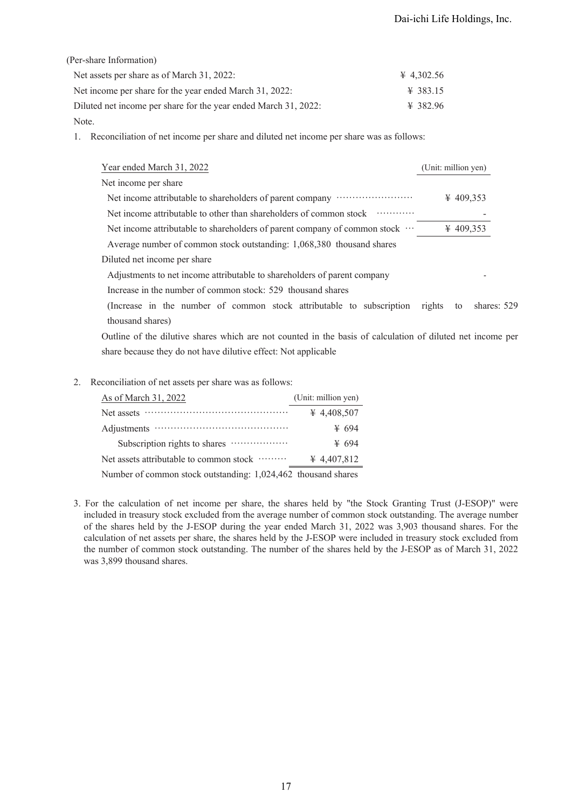### (Per-share Information)

| Net assets per share as of March 31, 2022:                      | $\text{\#}$ 4,302.56 |
|-----------------------------------------------------------------|----------------------|
| Net income per share for the year ended March 31, 2022:         | $\text{\#}$ 383.15   |
| Diluted net income per share for the year ended March 31, 2022: | $\frac{1}{2}$ 382.96 |
| Note.                                                           |                      |

1. Reconciliation of net income per share and diluted net income per share was as follows:

| Year ended March 31, 2022                                                                                  | (Unit: million yen)   |                |
|------------------------------------------------------------------------------------------------------------|-----------------------|----------------|
| Net income per share                                                                                       |                       |                |
| Net income attributable to shareholders of parent company                                                  | $\frac{1}{2}$ 409,353 |                |
| Net income attributable to other than shareholders of common stock                                         |                       |                |
| Net income attributable to shareholders of parent company of common stock                                  | ¥ 409,353             |                |
| Average number of common stock outstanding: 1,068,380 thousand shares                                      |                       |                |
| Diluted net income per share                                                                               |                       |                |
| Adjustments to net income attributable to shareholders of parent company                                   |                       |                |
| Increase in the number of common stock: 529 thousand shares                                                |                       |                |
| (Increase in the number of common stock attributable to subscription rights                                |                       | to shares: 529 |
| thousand shares)                                                                                           |                       |                |
| Outline of the dilutive shares which are not counted in the basis of calculation of diluted net income per |                       |                |

Outline of the dilutive shares which are not counted in the basis of calculation of diluted net income per share because they do not have dilutive effect: Not applicable

2. Reconciliation of net assets per share was as follows:

| As of March 31, 2022                                          | (Unit: million yen) |
|---------------------------------------------------------------|---------------------|
| Net assets                                                    | ¥ 4,408,507         |
|                                                               | ¥ 694               |
|                                                               | ¥ 694               |
| Net assets attributable to common stock ………                   | ¥ 4,407,812         |
| Number of common stock outstanding: 1,024,462 thousand shares |                     |

<sup>3.</sup> For the calculation of net income per share, the shares held by "the Stock Granting Trust (J-ESOP)" were included in treasury stock excluded from the average number of common stock outstanding. The average number of the shares held by the J-ESOP during the year ended March 31, 2022 was 3,903 thousand shares. For the calculation of net assets per share, the shares held by the J-ESOP were included in treasury stock excluded from the number of common stock outstanding. The number of the shares held by the J-ESOP as of March 31, 2022 was 3,899 thousand shares.